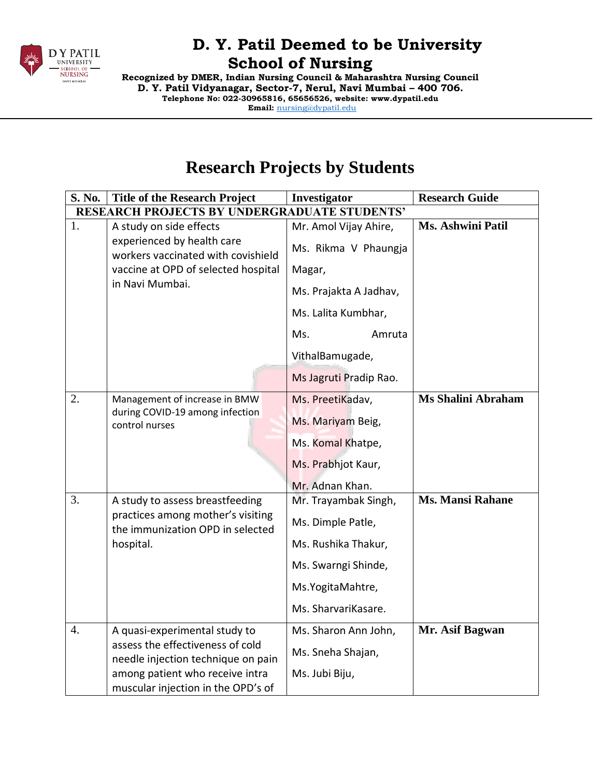

**Recognized by DMER, Indian Nursing Council & Maharashtra Nursing Council D. Y. Patil Vidyanagar, Sector-7, Nerul, Navi Mumbai – 400 706. Telephone No: 022-30965816, 65656526, website: www.dypatil.edu Email:** [nursing@dypatil.edu](mailto:nursing@dypatil.edu)

# **Research Projects by Students**

| S. No.                                              | <b>Title of the Research Project</b>                                               | Investigator           | <b>Research Guide</b>    |  |  |
|-----------------------------------------------------|------------------------------------------------------------------------------------|------------------------|--------------------------|--|--|
| <b>RESEARCH PROJECTS BY UNDERGRADUATE STUDENTS'</b> |                                                                                    |                        |                          |  |  |
| 1.                                                  | A study on side effects                                                            | Mr. Amol Vijay Ahire,  | <b>Ms. Ashwini Patil</b> |  |  |
|                                                     | experienced by health care<br>workers vaccinated with covishield                   | Ms. Rikma V Phaungja   |                          |  |  |
|                                                     | vaccine at OPD of selected hospital                                                | Magar,                 |                          |  |  |
|                                                     | in Navi Mumbai.                                                                    | Ms. Prajakta A Jadhav, |                          |  |  |
|                                                     |                                                                                    | Ms. Lalita Kumbhar,    |                          |  |  |
|                                                     |                                                                                    | Ms.<br>Amruta          |                          |  |  |
|                                                     |                                                                                    | VithalBamugade,        |                          |  |  |
|                                                     |                                                                                    | Ms Jagruti Pradip Rao. |                          |  |  |
| 2.                                                  | Management of increase in BMW                                                      | Ms. PreetiKadav,       | Ms Shalini Abraham       |  |  |
|                                                     | during COVID-19 among infection<br>control nurses                                  | Ms. Mariyam Beig,      |                          |  |  |
|                                                     |                                                                                    | Ms. Komal Khatpe,      |                          |  |  |
|                                                     |                                                                                    | Ms. Prabhjot Kaur,     |                          |  |  |
|                                                     |                                                                                    | Mr. Adnan Khan.        |                          |  |  |
| 3.                                                  | A study to assess breastfeeding                                                    | Mr. Trayambak Singh,   | <b>Ms. Mansi Rahane</b>  |  |  |
|                                                     | practices among mother's visiting<br>the immunization OPD in selected<br>hospital. | Ms. Dimple Patle,      |                          |  |  |
|                                                     |                                                                                    | Ms. Rushika Thakur,    |                          |  |  |
|                                                     |                                                                                    | Ms. Swarngi Shinde,    |                          |  |  |
|                                                     |                                                                                    | Ms.YogitaMahtre,       |                          |  |  |
|                                                     |                                                                                    | Ms. SharvariKasare.    |                          |  |  |
| $\overline{4}$ .                                    | A quasi-experimental study to                                                      | Ms. Sharon Ann John,   | Mr. Asif Bagwan          |  |  |
|                                                     | assess the effectiveness of cold<br>needle injection technique on pain             | Ms. Sneha Shajan,      |                          |  |  |
|                                                     | among patient who receive intra<br>muscular injection in the OPD's of              | Ms. Jubi Biju,         |                          |  |  |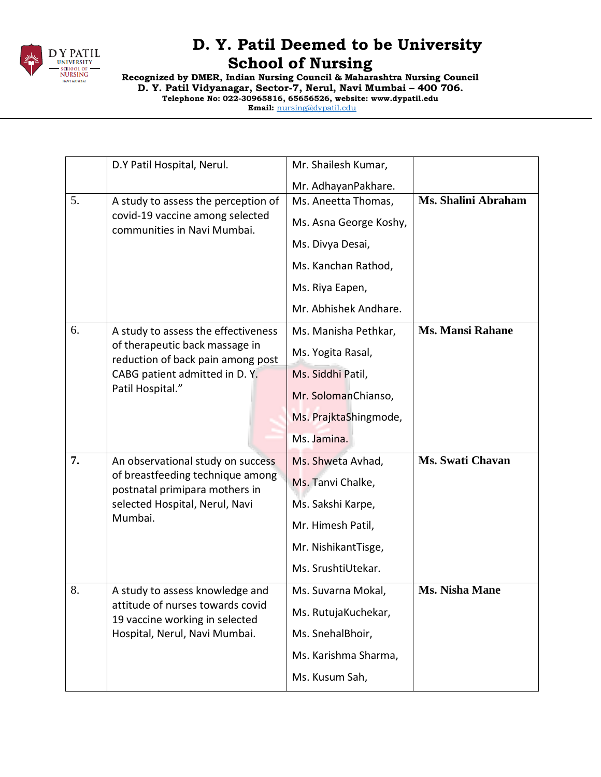

**Recognized by DMER, Indian Nursing Council & Maharashtra Nursing Council D. Y. Patil Vidyanagar, Sector-7, Nerul, Navi Mumbai – 400 706. Telephone No: 022-30965816, 65656526, website: www.dypatil.edu Email:** [nursing@dypatil.edu](mailto:nursing@dypatil.edu)

|    | D.Y Patil Hospital, Nerul.                                                                                      | Mr. Shailesh Kumar,    |                         |  |
|----|-----------------------------------------------------------------------------------------------------------------|------------------------|-------------------------|--|
|    |                                                                                                                 | Mr. AdhayanPakhare.    |                         |  |
| 5. | A study to assess the perception of                                                                             | Ms. Aneetta Thomas,    | Ms. Shalini Abraham     |  |
|    | covid-19 vaccine among selected<br>communities in Navi Mumbai.                                                  | Ms. Asna George Koshy, |                         |  |
|    |                                                                                                                 | Ms. Divya Desai,       |                         |  |
|    |                                                                                                                 | Ms. Kanchan Rathod,    |                         |  |
|    |                                                                                                                 | Ms. Riya Eapen,        |                         |  |
|    |                                                                                                                 | Mr. Abhishek Andhare.  |                         |  |
| 6. | A study to assess the effectiveness                                                                             | Ms. Manisha Pethkar,   | <b>Ms. Mansi Rahane</b> |  |
|    | of therapeutic back massage in<br>reduction of back pain among post                                             | Ms. Yogita Rasal,      |                         |  |
|    | CABG patient admitted in D.Y.<br>Patil Hospital."                                                               | Ms. Siddhi Patil,      |                         |  |
|    |                                                                                                                 | Mr. SolomanChianso,    |                         |  |
|    |                                                                                                                 | Ms. PrajktaShingmode,  |                         |  |
|    |                                                                                                                 | Ms. Jamina.            |                         |  |
| 7. | An observational study on success                                                                               | Ms. Shweta Avhad,      | <b>Ms. Swati Chavan</b> |  |
|    | of breastfeeding technique among<br>postnatal primipara mothers in<br>selected Hospital, Nerul, Navi<br>Mumbai. | Ms. Tanvi Chalke,      |                         |  |
|    |                                                                                                                 |                        |                         |  |
|    |                                                                                                                 | Ms. Sakshi Karpe,      |                         |  |
|    |                                                                                                                 | Mr. Himesh Patil,      |                         |  |
|    |                                                                                                                 | Mr. NishikantTisge,    |                         |  |
|    |                                                                                                                 | Ms. SrushtiUtekar.     |                         |  |
| 8. | A study to assess knowledge and                                                                                 | Ms. Suvarna Mokal,     | <b>Ms. Nisha Mane</b>   |  |
|    | attitude of nurses towards covid<br>19 vaccine working in selected                                              | Ms. RutujaKuchekar,    |                         |  |
|    | Hospital, Nerul, Navi Mumbai.                                                                                   | Ms. SnehalBhoir,       |                         |  |
|    |                                                                                                                 | Ms. Karishma Sharma,   |                         |  |
|    |                                                                                                                 | Ms. Kusum Sah,         |                         |  |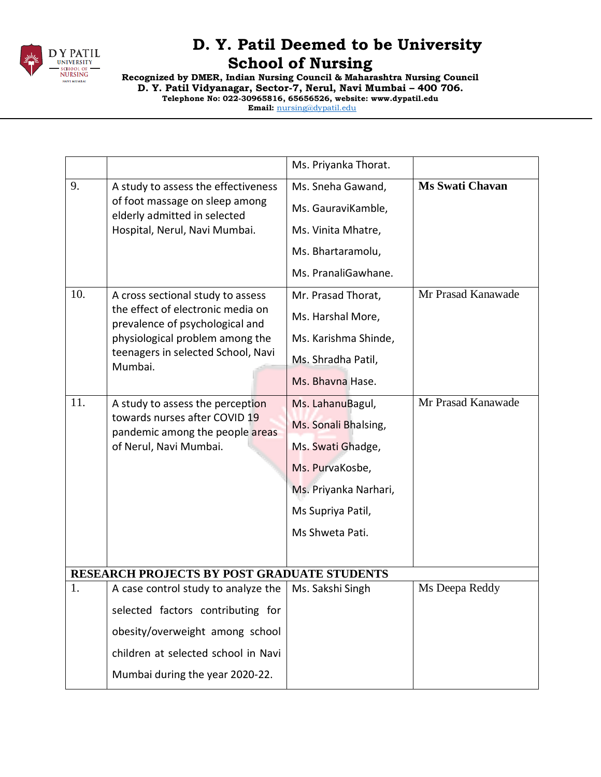

**Recognized by DMER, Indian Nursing Council & Maharashtra Nursing Council D. Y. Patil Vidyanagar, Sector-7, Nerul, Navi Mumbai – 400 706. Telephone No: 022-30965816, 65656526, website: www.dypatil.edu Email:** [nursing@dypatil.edu](mailto:nursing@dypatil.edu)

|     |                                                                                                                                                                                               | Ms. Priyanka Thorat.                                                                                                                              |                        |
|-----|-----------------------------------------------------------------------------------------------------------------------------------------------------------------------------------------------|---------------------------------------------------------------------------------------------------------------------------------------------------|------------------------|
| 9.  | A study to assess the effectiveness<br>of foot massage on sleep among<br>elderly admitted in selected<br>Hospital, Nerul, Navi Mumbai.                                                        | Ms. Sneha Gawand,                                                                                                                                 | <b>Ms Swati Chavan</b> |
|     |                                                                                                                                                                                               | Ms. GauraviKamble,                                                                                                                                |                        |
|     |                                                                                                                                                                                               | Ms. Vinita Mhatre,                                                                                                                                |                        |
|     |                                                                                                                                                                                               | Ms. Bhartaramolu,                                                                                                                                 |                        |
|     |                                                                                                                                                                                               | Ms. PranaliGawhane.                                                                                                                               |                        |
| 10. | A cross sectional study to assess<br>the effect of electronic media on<br>prevalence of psychological and<br>physiological problem among the<br>teenagers in selected School, Navi<br>Mumbai. | Mr. Prasad Thorat,                                                                                                                                | Mr Prasad Kanawade     |
|     |                                                                                                                                                                                               | Ms. Harshal More,                                                                                                                                 |                        |
|     |                                                                                                                                                                                               | Ms. Karishma Shinde,                                                                                                                              |                        |
|     |                                                                                                                                                                                               | Ms. Shradha Patil,                                                                                                                                |                        |
|     |                                                                                                                                                                                               | Ms. Bhavna Hase.                                                                                                                                  |                        |
| 11. | A study to assess the perception<br>towards nurses after COVID 19<br>pandemic among the people areas<br>of Nerul, Navi Mumbai.                                                                | Ms. LahanuBagul,<br>Ms. Sonali Bhalsing,<br>Ms. Swati Ghadge,<br>Ms. PurvaKosbe,<br>Ms. Priyanka Narhari,<br>Ms Supriya Patil,<br>Ms Shweta Pati. | Mr Prasad Kanawade     |
|     | <b>RESEARCH PROJECTS BY POST GRADUATE STUDENTS</b>                                                                                                                                            |                                                                                                                                                   |                        |
| 1.  | A case control study to analyze the                                                                                                                                                           | Ms. Sakshi Singh                                                                                                                                  | Ms Deepa Reddy         |
|     | selected factors contributing for                                                                                                                                                             |                                                                                                                                                   |                        |
|     | obesity/overweight among school                                                                                                                                                               |                                                                                                                                                   |                        |
|     | children at selected school in Navi                                                                                                                                                           |                                                                                                                                                   |                        |
|     | Mumbai during the year 2020-22.                                                                                                                                                               |                                                                                                                                                   |                        |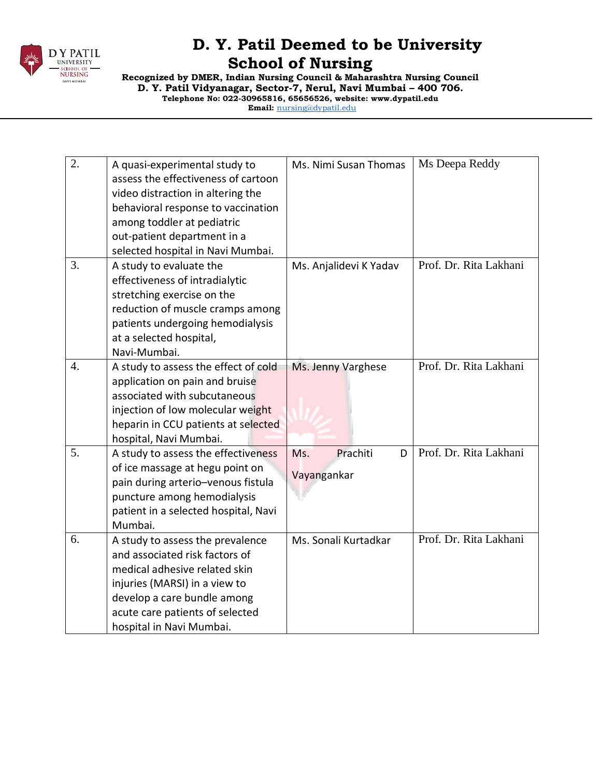

**Recognized by DMER, Indian Nursing Council & Maharashtra Nursing Council D. Y. Patil Vidyanagar, Sector-7, Nerul, Navi Mumbai – 400 706. Telephone No: 022-30965816, 65656526, website: www.dypatil.edu Email:** [nursing@dypatil.edu](mailto:nursing@dypatil.edu)

2.  $\Box$  A quasi-experimental study to assess the effectiveness of cartoon video distraction in altering the behavioral response to vaccination among toddler at pediatric out-patient department in a selected hospital in Navi Mumbai. Ms. Nimi Susan Thomas  $\parallel$  Ms Deepa Reddy  $3.$  A study to evaluate the effectiveness of intradialytic stretching exercise on the reduction of muscle cramps among patients undergoing hemodialysis at a selected hospital, Navi-Mumbai. Ms. Anjalidevi K Yadav Prof. Dr. Rita Lakhani 4.  $\vert$  A study to assess the effect of cold application on pain and bruise associated with subcutaneous injection of low molecular weight heparin in CCU patients at selected hospital, Navi Mumbai. Ms. Jenny Varghese | Prof. Dr. Rita Lakhani  $5.$  A study to assess the effectiveness of ice massage at hegu point on pain during arterio–venous fistula puncture among hemodialysis patient in a selected hospital, Navi Mumbai. Ms. Prachiti D Vayangankar Prof. Dr. Rita Lakhani 6.  $\Box$  A study to assess the prevalence and associated risk factors of medical adhesive related skin injuries (MARSI) in a view to develop a care bundle among acute care patients of selected hospital in Navi Mumbai. Ms. Sonali Kurtadkar Prof. Dr. Rita Lakhani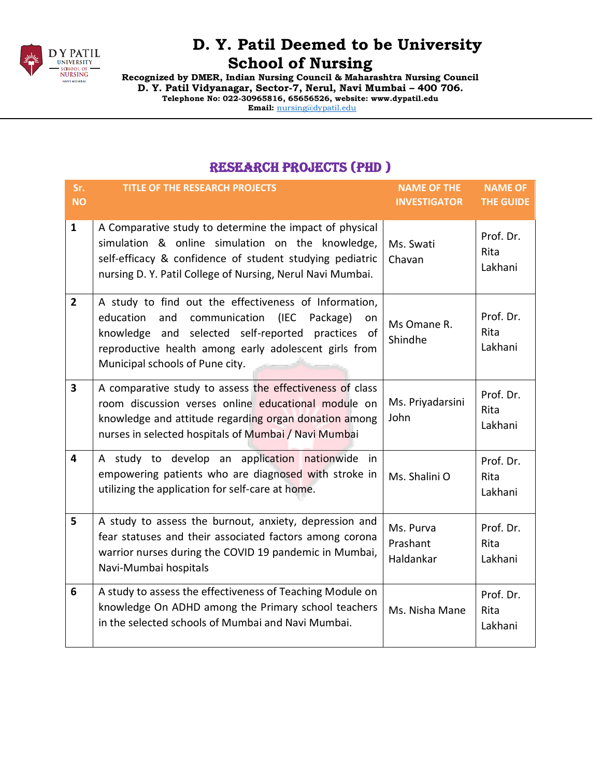

**Recognized by DMER, Indian Nursing Council & Maharashtra Nursing Council D. Y. Patil Vidyanagar, Sector-7, Nerul, Navi Mumbai – 400 706. Telephone No: 022-30965816, 65656526, website: www.dypatil.edu Email:** [nursing@dypatil.edu](mailto:nursing@dypatil.edu)

#### Research Projects (PHD )

| Sr.<br><b>NO</b> | <b>TITLE OF THE RESEARCH PROJECTS</b>                                                                                                                                                                                                                                    | <b>NAME OF THE</b><br><b>INVESTIGATOR</b> | <b>NAME OF</b><br><b>THE GUIDE</b> |
|------------------|--------------------------------------------------------------------------------------------------------------------------------------------------------------------------------------------------------------------------------------------------------------------------|-------------------------------------------|------------------------------------|
| $\mathbf{1}$     | A Comparative study to determine the impact of physical<br>simulation & online simulation on the knowledge,<br>self-efficacy & confidence of student studying pediatric<br>nursing D.Y. Patil College of Nursing, Nerul Navi Mumbai.                                     | Ms. Swati<br>Chavan                       | Prof. Dr.<br>Rita<br>Lakhani       |
| $\overline{2}$   | A study to find out the effectiveness of Information,<br>education<br>and<br>communication<br>(IEC<br>Package)<br>on<br>and selected self-reported practices of<br>knowledge<br>reproductive health among early adolescent girls from<br>Municipal schools of Pune city. | Ms Omane R.<br>Shindhe                    | Prof. Dr.<br>Rita<br>Lakhani       |
| 3                | A comparative study to assess the effectiveness of class<br>room discussion verses online educational module on<br>knowledge and attitude regarding organ donation among<br>nurses in selected hospitals of Mumbai / Navi Mumbai                                         | Ms. Priyadarsini<br>John                  | Prof. Dr.<br>Rita<br>Lakhani       |
| 4                | A study to develop an application nationwide in<br>empowering patients who are diagnosed with stroke in<br>utilizing the application for self-care at home.                                                                                                              | Ms. Shalini O                             | Prof. Dr.<br>Rita<br>Lakhani       |
| 5                | A study to assess the burnout, anxiety, depression and<br>fear statuses and their associated factors among corona<br>warrior nurses during the COVID 19 pandemic in Mumbai,<br>Navi-Mumbai hospitals                                                                     | Ms. Purva<br>Prashant<br>Haldankar        | Prof. Dr.<br>Rita<br>Lakhani       |
| 6                | A study to assess the effectiveness of Teaching Module on<br>knowledge On ADHD among the Primary school teachers<br>in the selected schools of Mumbai and Navi Mumbai.                                                                                                   | Ms. Nisha Mane                            | Prof. Dr.<br>Rita<br>Lakhani       |